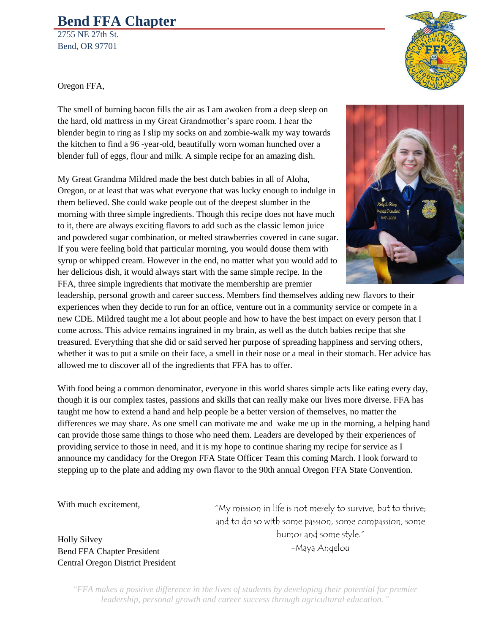## **Bend FFA Chapter**

2755 NE 27th St. Bend, OR 97701

Oregon FFA,

The smell of burning bacon fills the air as I am awoken from a deep sleep on the hard, old mattress in my Great Grandmother's spare room. I hear the blender begin to ring as I slip my socks on and zombie-walk my way towards the kitchen to find a 96 -year-old, beautifully worn woman hunched over a blender full of eggs, flour and milk. A simple recipe for an amazing dish.

My Great Grandma Mildred made the best dutch babies in all of Aloha, Oregon, or at least that was what everyone that was lucky enough to indulge in them believed. She could wake people out of the deepest slumber in the morning with three simple ingredients. Though this recipe does not have much to it, there are always exciting flavors to add such as the classic lemon juice and powdered sugar combination, or melted strawberries covered in cane sugar. If you were feeling bold that particular morning, you would douse them with syrup or whipped cream. However in the end, no matter what you would add to her delicious dish, it would always start with the same simple recipe. In the FFA, three simple ingredients that motivate the membership are premier

leadership, personal growth and career success. Members find themselves adding new flavors to their experiences when they decide to run for an office, venture out in a community service or compete in a new CDE. Mildred taught me a lot about people and how to have the best impact on every person that I come across. This advice remains ingrained in my brain, as well as the dutch babies recipe that she treasured. Everything that she did or said served her purpose of spreading happiness and serving others, whether it was to put a smile on their face, a smell in their nose or a meal in their stomach. Her advice has allowed me to discover all of the ingredients that FFA has to offer.

With food being a common denominator, everyone in this world shares simple acts like eating every day, though it is our complex tastes, passions and skills that can really make our lives more diverse. FFA has taught me how to extend a hand and help people be a better version of themselves, no matter the differences we may share. As one smell can motivate me and wake me up in the morning, a helping hand can provide those same things to those who need them. Leaders are developed by their experiences of providing service to those in need, and it is my hope to continue sharing my recipe for service as I announce my candidacy for the Oregon FFA State Officer Team this coming March. I look forward to stepping up to the plate and adding my own flavor to the 90th annual Oregon FFA State Convention.

With much excitement,

"My mission in life is not merely to survive, but to thrive; and to do so with some passion, some compassion, some humor and some style." -Maya Angelou

Holly Silvey Bend FFA Chapter President Central Oregon District President

> *"FFA makes a positive difference in the lives of students by developing their potential for premier leadership, personal growth and career success through agricultural education."*